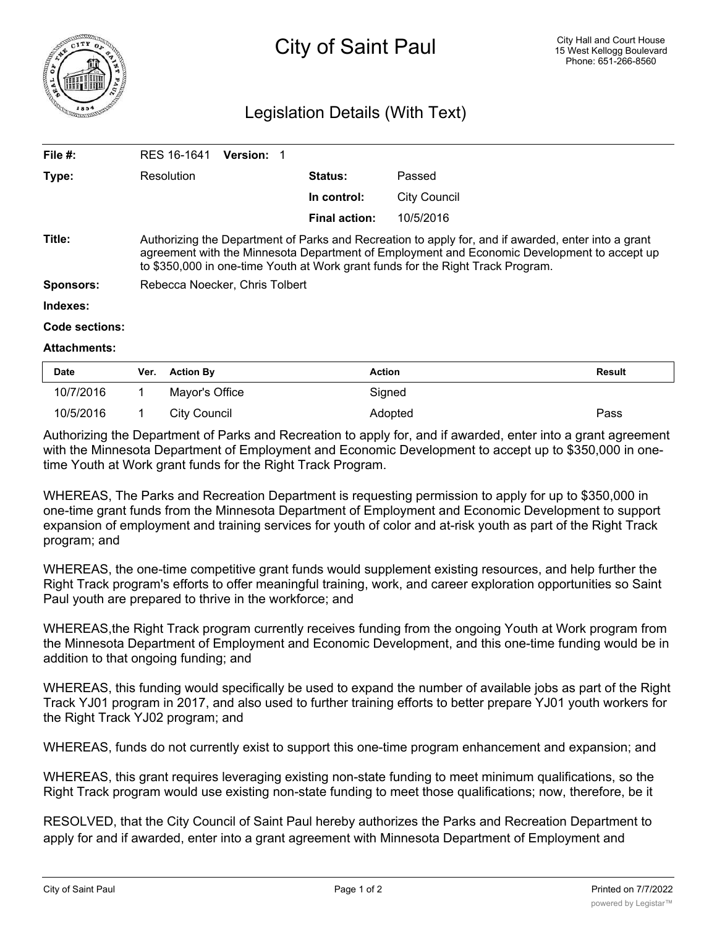

## Legislation Details (With Text)

| File $#$ :          | RES 16-1641<br>Version: 1                                                                                                                                                                                                                                                             |                      |                     |  |  |
|---------------------|---------------------------------------------------------------------------------------------------------------------------------------------------------------------------------------------------------------------------------------------------------------------------------------|----------------------|---------------------|--|--|
| Type:               | Resolution                                                                                                                                                                                                                                                                            | <b>Status:</b>       | Passed              |  |  |
|                     |                                                                                                                                                                                                                                                                                       | In control:          | <b>City Council</b> |  |  |
|                     |                                                                                                                                                                                                                                                                                       | <b>Final action:</b> | 10/5/2016           |  |  |
| Title:              | Authorizing the Department of Parks and Recreation to apply for, and if awarded, enter into a grant<br>agreement with the Minnesota Department of Employment and Economic Development to accept up<br>to \$350,000 in one-time Youth at Work grant funds for the Right Track Program. |                      |                     |  |  |
| <b>Sponsors:</b>    | Rebecca Noecker, Chris Tolbert                                                                                                                                                                                                                                                        |                      |                     |  |  |
| Indexes:            |                                                                                                                                                                                                                                                                                       |                      |                     |  |  |
| Code sections:      |                                                                                                                                                                                                                                                                                       |                      |                     |  |  |
| <b>Attachments:</b> |                                                                                                                                                                                                                                                                                       |                      |                     |  |  |

| <b>Date</b> | Ver. | <b>Action By</b> | <b>Action</b> | <b>Result</b> |
|-------------|------|------------------|---------------|---------------|
| 10/7/2016   |      | Mavor's Office   | Signed        |               |
| 10/5/2016   |      | City Council     | Adopted       | Pass          |

Authorizing the Department of Parks and Recreation to apply for, and if awarded, enter into a grant agreement with the Minnesota Department of Employment and Economic Development to accept up to \$350,000 in onetime Youth at Work grant funds for the Right Track Program.

WHEREAS, The Parks and Recreation Department is requesting permission to apply for up to \$350,000 in one-time grant funds from the Minnesota Department of Employment and Economic Development to support expansion of employment and training services for youth of color and at-risk youth as part of the Right Track program; and

WHEREAS, the one-time competitive grant funds would supplement existing resources, and help further the Right Track program's efforts to offer meaningful training, work, and career exploration opportunities so Saint Paul youth are prepared to thrive in the workforce; and

WHEREAS,the Right Track program currently receives funding from the ongoing Youth at Work program from the Minnesota Department of Employment and Economic Development, and this one-time funding would be in addition to that ongoing funding; and

WHEREAS, this funding would specifically be used to expand the number of available jobs as part of the Right Track YJ01 program in 2017, and also used to further training efforts to better prepare YJ01 youth workers for the Right Track YJ02 program; and

WHEREAS, funds do not currently exist to support this one-time program enhancement and expansion; and

WHEREAS, this grant requires leveraging existing non-state funding to meet minimum qualifications, so the Right Track program would use existing non-state funding to meet those qualifications; now, therefore, be it

RESOLVED, that the City Council of Saint Paul hereby authorizes the Parks and Recreation Department to apply for and if awarded, enter into a grant agreement with Minnesota Department of Employment and